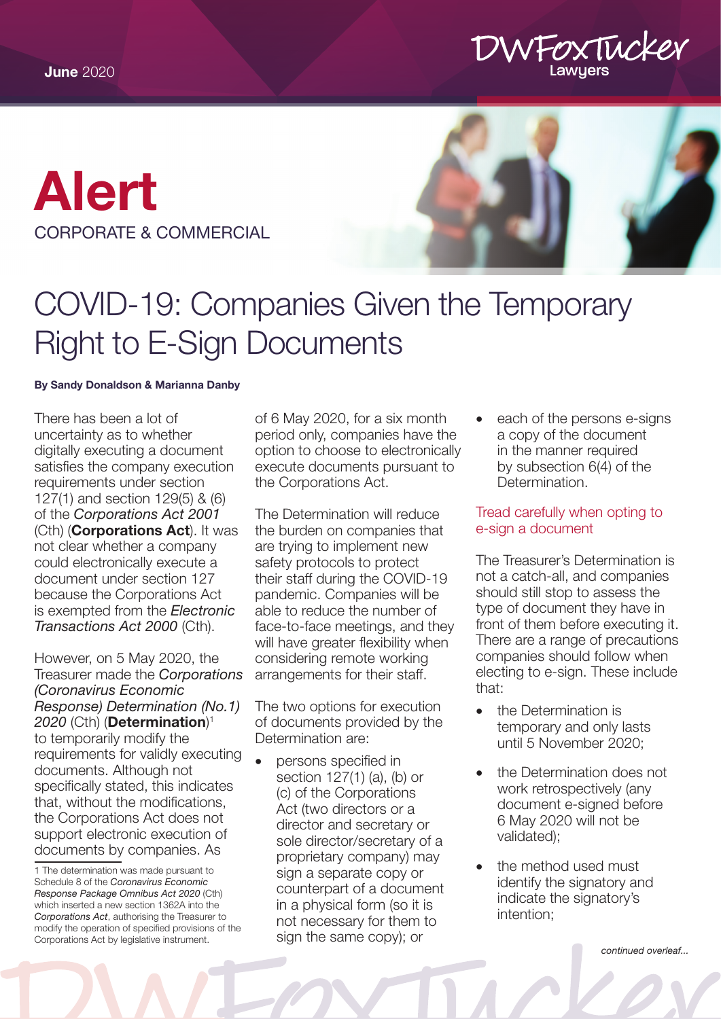

# [Alert](https://www.dwfoxtucker.com.au/expertise/commercial-lawyers/) CORPORATE & COMMERCIAL



## COVID-19: Companies Given the Temporary Right to E-Sign Documents

#### By Sandy Donaldson & Marianna Danby

There has been a lot of uncertainty as to whether digitally executing a document satisfies the company execution requirements under section 127(1) and section 129(5) & (6) of the *Corporations Act 2001* (Cth) (Corporations Act). It was not clear whether a company could electronically execute a document under section 127 because the Corporations Act is exempted from the *Electronic Transactions Act 2000* (Cth).

However, on 5 May 2020, the Treasurer made the *Corporations (Coronavirus Economic Response) Determination (No.1) 2020* (Cth) (Determination) 1 to temporarily modify the requirements for validly executing documents. Although not specifically stated, this indicates that, without the modifications, the Corporations Act does not support electronic execution of documents by companies. As

of 6 May 2020, for a six month period only, companies have the option to choose to electronically execute documents pursuant to the Corporations Act.

The Determination will reduce the burden on companies that are trying to implement new safety protocols to protect their staff during the COVID-19 pandemic. Companies will be able to reduce the number of face-to-face meetings, and they will have greater flexibility when considering remote working arrangements for their staff.

The two options for execution of documents provided by the Determination are:

persons specified in section 127(1) (a), (b) or (c) of the Corporations Act (two directors or a director and secretary or sole director/secretary of a proprietary company) may sign a separate copy or counterpart of a document in a physical form (so it is not necessary for them to sign the same copy); or

each of the persons e-signs a copy of the document in the manner required by subsection 6(4) of the Determination.

Tread carefully when opting to e-sign a document

The Treasurer's Determination is not a catch-all, and companies should still stop to assess the type of document they have in front of them before executing it. There are a range of precautions companies should follow when electing to e-sign. These include that:

- the Determination is temporary and only lasts until 5 November 2020;
- the Determination does not work retrospectively (any document e-signed before 6 May 2020 will not be validated);
- the method used must identify the signatory and indicate the signatory's intention;

*continued overleaf...*

<sup>1</sup> The determination was made pursuant to Schedule 8 of the *Coronavirus Economic Response Package Omnibus Act 2020* (Cth) which inserted a new section 1362A into the *Corporations Act*, authorising the Treasurer to modify the operation of specified provisions of the Corporations Act by legislative instrument.